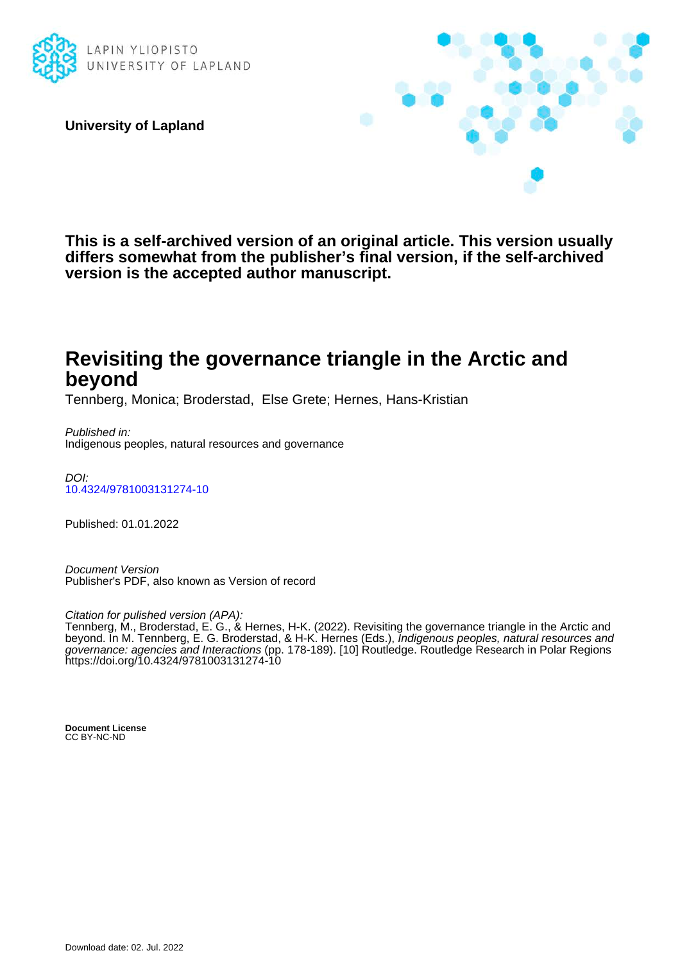

**University of Lapland**



**This is a self-archived version of an original article. This version usually differs somewhat from the publisher's final version, if the self-archived version is the accepted author manuscript.**

# **Revisiting the governance triangle in the Arctic and beyond**

Tennberg, Monica; Broderstad, Else Grete; Hernes, Hans-Kristian

Published in: Indigenous peoples, natural resources and governance

DOI: [10.4324/9781003131274-10](https://doi.org/10.4324/9781003131274-10)

Published: 01.01.2022

Document Version Publisher's PDF, also known as Version of record

Citation for pulished version (APA):

Tennberg, M., Broderstad, E. G., & Hernes, H-K. (2022). Revisiting the governance triangle in the Arctic and beyond. In M. Tennberg, E. G. Broderstad, & H-K. Hernes (Eds.), *Indigenous peoples, natural resources an*a governance: agencies and Interactions (pp. 178-189). [10] Routledge. Routledge Research in Polar Regions <https://doi.org/10.4324/9781003131274-10>

**Document License** CC BY-NC-ND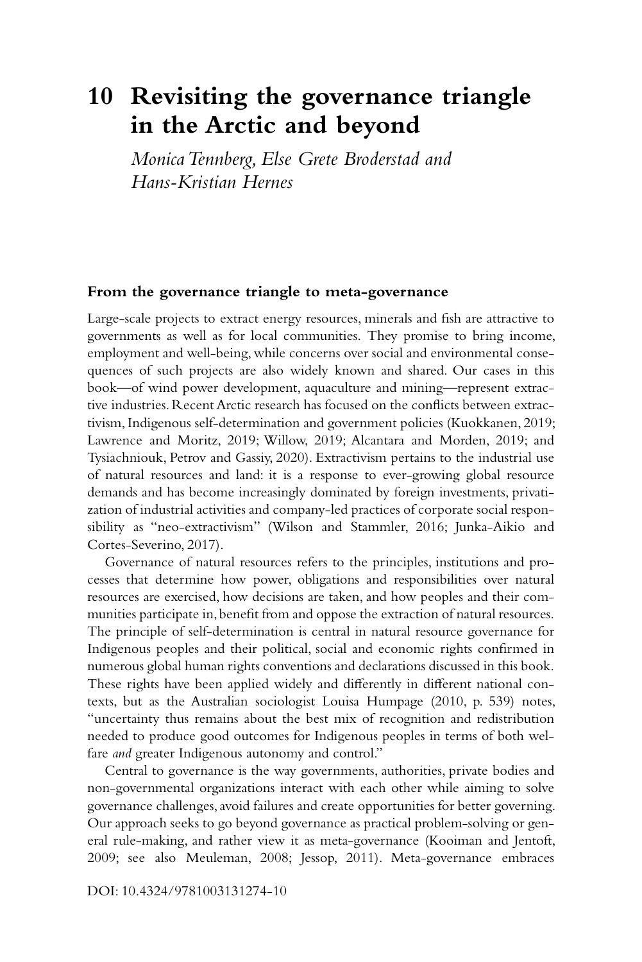# **10 Revisiting the governance triangle in the Arctic and beyond**

*Monica Tennberg, Else Grete Broderstad and Hans-Kristian Hernes*

# **From the governance triangle to meta-governance**

Large-scale projects to extract energy resources, minerals and fish are attractive to governments as well as for local communities. They promise to bring income, employment and well-being, while concerns over social and environmental consequences of such projects are also widely known and shared. Our cases in this book—of wind power development, aquaculture and mining—represent extractive industries. Recent Arctic research has focused on the conflicts between extractivism, Indigenous self-determination and government policies (Kuokkanen, 2019; Lawrence and Moritz, 2019; Willow, 2019; Alcantara and Morden, 2019; and Tysiachniouk, Petrov and Gassiy, 2020). Extractivism pertains to the industrial use of natural resources and land: it is a response to ever-growing global resource demands and has become increasingly dominated by foreign investments, privatization of industrial activities and company-led practices of corporate social responsibility as "neo-extractivism" (Wilson and Stammler, 2016; Junka-Aikio and Cortes-Severino, 2017).

Governance of natural resources refers to the principles, institutions and processes that determine how power, obligations and responsibilities over natural resources are exercised, how decisions are taken, and how peoples and their communities participate in, benefit from and oppose the extraction of natural resources. The principle of self-determination is central in natural resource governance for Indigenous peoples and their political, social and economic rights confirmed in numerous global human rights conventions and declarations discussed in this book. These rights have been applied widely and differently in different national contexts, but as the Australian sociologist Louisa Humpage (2010, p. 539) notes, "uncertainty thus remains about the best mix of recognition and redistribution needed to produce good outcomes for Indigenous peoples in terms of both welfare *and* greater Indigenous autonomy and control."

Central to governance is the way governments, authorities, private bodies and non-governmental organizations interact with each other while aiming to solve governance challenges, avoid failures and create opportunities for better governing. Our approach seeks to go beyond governance as practical problem-solving or general rule-making, and rather view it as meta-governance (Kooiman and Jentoft, 2009; see also Meuleman, 2008; Jessop, 2011). Meta-governance embraces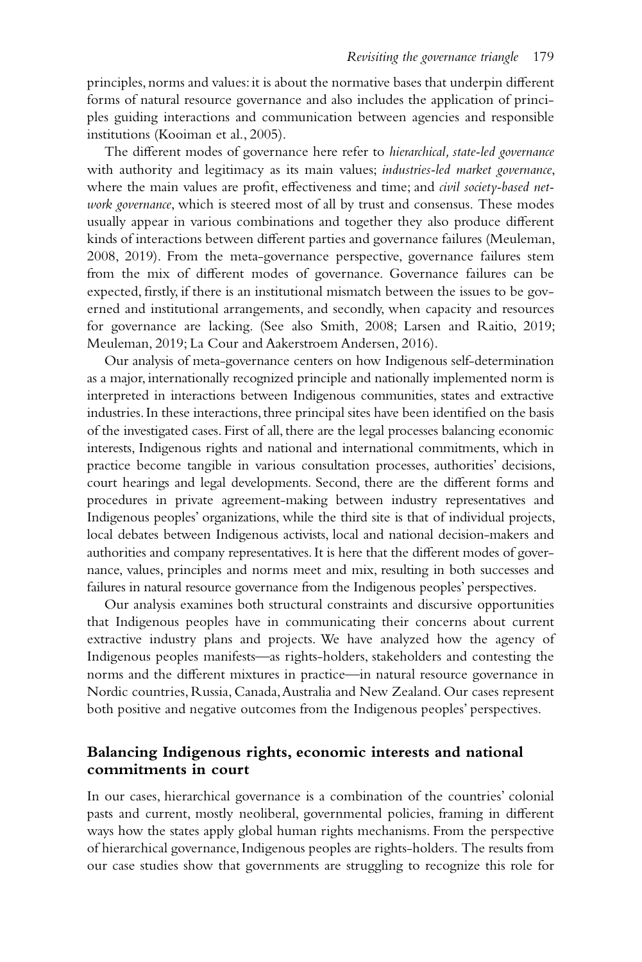principles, norms and values: it is about the normative bases that underpin different forms of natural resource governance and also includes the application of principles guiding interactions and communication between agencies and responsible institutions (Kooiman et al., 2005).

The different modes of governance here refer to *hierarchical, state-led governance* with authority and legitimacy as its main values; *industries-led market governance*, where the main values are profit, effectiveness and time; and *civil society-based network governance*, which is steered most of all by trust and consensus. These modes usually appear in various combinations and together they also produce different kinds of interactions between different parties and governance failures (Meuleman, 2008, 2019). From the meta-governance perspective, governance failures stem from the mix of different modes of governance. Governance failures can be expected, firstly, if there is an institutional mismatch between the issues to be governed and institutional arrangements, and secondly, when capacity and resources for governance are lacking. (See also Smith, 2008; Larsen and Raitio, 2019; Meuleman, 2019; La Cour and Aakerstroem Andersen, 2016).

Our analysis of meta-governance centers on how Indigenous self-determination as a major, internationally recognized principle and nationally implemented norm is interpreted in interactions between Indigenous communities, states and extractive industries. In these interactions, three principal sites have been identified on the basis of the investigated cases. First of all, there are the legal processes balancing economic interests, Indigenous rights and national and international commitments, which in practice become tangible in various consultation processes, authorities' decisions, court hearings and legal developments. Second, there are the different forms and procedures in private agreement-making between industry representatives and Indigenous peoples' organizations, while the third site is that of individual projects, local debates between Indigenous activists, local and national decision-makers and authorities and company representatives. It is here that the different modes of governance, values, principles and norms meet and mix, resulting in both successes and failures in natural resource governance from the Indigenous peoples' perspectives.

Our analysis examines both structural constraints and discursive opportunities that Indigenous peoples have in communicating their concerns about current extractive industry plans and projects. We have analyzed how the agency of Indigenous peoples manifests—as rights-holders, stakeholders and contesting the norms and the different mixtures in practice—in natural resource governance in Nordic countries, Russia, Canada, Australia and New Zealand. Our cases represent both positive and negative outcomes from the Indigenous peoples' perspectives.

# **Balancing Indigenous rights, economic interests and national commitments in court**

In our cases, hierarchical governance is a combination of the countries' colonial pasts and current, mostly neoliberal, governmental policies, framing in different ways how the states apply global human rights mechanisms. From the perspective of hierarchical governance, Indigenous peoples are rights-holders. The results from our case studies show that governments are struggling to recognize this role for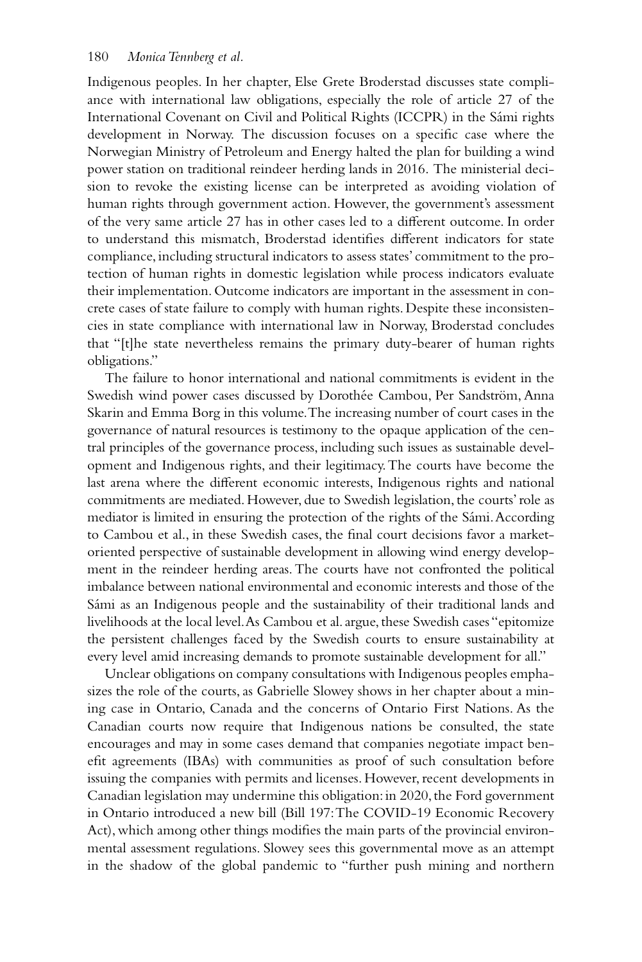Indigenous peoples. In her chapter, Else Grete Broderstad discusses state compliance with international law obligations, especially the role of article 27 of the International Covenant on Civil and Political Rights (ICCPR) in the Sámi rights development in Norway. The discussion focuses on a specific case where the Norwegian Ministry of Petroleum and Energy halted the plan for building a wind power station on traditional reindeer herding lands in 2016. The ministerial decision to revoke the existing license can be interpreted as avoiding violation of human rights through government action. However, the government's assessment of the very same article 27 has in other cases led to a different outcome. In order to understand this mismatch, Broderstad identifies different indicators for state compliance, including structural indicators to assess states' commitment to the protection of human rights in domestic legislation while process indicators evaluate their implementation. Outcome indicators are important in the assessment in concrete cases of state failure to comply with human rights. Despite these inconsistencies in state compliance with international law in Norway, Broderstad concludes that "[t]he state nevertheless remains the primary duty-bearer of human rights obligations."

The failure to honor international and national commitments is evident in the Swedish wind power cases discussed by Dorothée Cambou, Per Sandström, Anna Skarin and Emma Borg in this volume. The increasing number of court cases in the governance of natural resources is testimony to the opaque application of the central principles of the governance process, including such issues as sustainable development and Indigenous rights, and their legitimacy. The courts have become the last arena where the different economic interests, Indigenous rights and national commitments are mediated. However, due to Swedish legislation, the courts' role as mediator is limited in ensuring the protection of the rights of the Sámi. According to Cambou et al., in these Swedish cases, the final court decisions favor a marketoriented perspective of sustainable development in allowing wind energy development in the reindeer herding areas. The courts have not confronted the political imbalance between national environmental and economic interests and those of the Sámi as an Indigenous people and the sustainability of their traditional lands and livelihoods at the local level. As Cambou et al. argue, these Swedish cases "epitomize the persistent challenges faced by the Swedish courts to ensure sustainability at every level amid increasing demands to promote sustainable development for all."

Unclear obligations on company consultations with Indigenous peoples emphasizes the role of the courts, as Gabrielle Slowey shows in her chapter about a mining case in Ontario, Canada and the concerns of Ontario First Nations. As the Canadian courts now require that Indigenous nations be consulted, the state encourages and may in some cases demand that companies negotiate impact benefit agreements (IBAs) with communities as proof of such consultation before issuing the companies with permits and licenses. However, recent developments in Canadian legislation may undermine this obligation: in 2020, the Ford government in Ontario introduced a new bill (Bill 197: The COVID-19 Economic Recovery Act), which among other things modifies the main parts of the provincial environmental assessment regulations. Slowey sees this governmental move as an attempt in the shadow of the global pandemic to "further push mining and northern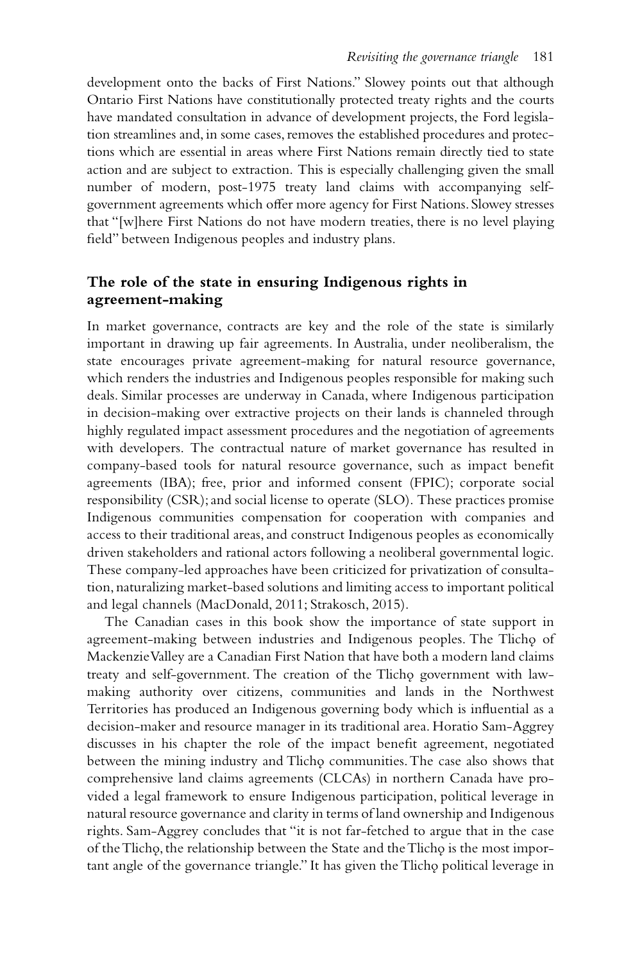development onto the backs of First Nations." Slowey points out that although Ontario First Nations have constitutionally protected treaty rights and the courts have mandated consultation in advance of development projects, the Ford legislation streamlines and, in some cases, removes the established procedures and protections which are essential in areas where First Nations remain directly tied to state action and are subject to extraction. This is especially challenging given the small number of modern, post-1975 treaty land claims with accompanying selfgovernment agreements which offer more agency for First Nations. Slowey stresses that "[w]here First Nations do not have modern treaties, there is no level playing field" between Indigenous peoples and industry plans.

# **The role of the state in ensuring Indigenous rights in agreement-making**

In market governance, contracts are key and the role of the state is similarly important in drawing up fair agreements. In Australia, under neoliberalism, the state encourages private agreement-making for natural resource governance, which renders the industries and Indigenous peoples responsible for making such deals. Similar processes are underway in Canada, where Indigenous participation in decision-making over extractive projects on their lands is channeled through highly regulated impact assessment procedures and the negotiation of agreements with developers. The contractual nature of market governance has resulted in company-based tools for natural resource governance, such as impact benefit agreements (IBA); free, prior and informed consent (FPIC); corporate social responsibility (CSR); and social license to operate (SLO). These practices promise Indigenous communities compensation for cooperation with companies and access to their traditional areas, and construct Indigenous peoples as economically driven stakeholders and rational actors following a neoliberal governmental logic. These company-led approaches have been criticized for privatization of consultation, naturalizing market-based solutions and limiting access to important political and legal channels (MacDonald, 2011; Strakosch, 2015).

The Canadian cases in this book show the importance of state support in agreement-making between industries and Indigenous peoples. The Tlicho of Mackenzie Valley are a Canadian First Nation that have both a modern land claims treaty and self-government. The creation of the Tlicho government with lawmaking authority over citizens, communities and lands in the Northwest Territories has produced an Indigenous governing body which is influential as a decision-maker and resource manager in its traditional area. Horatio Sam-Aggrey discusses in his chapter the role of the impact benefit agreement, negotiated between the mining industry and Tlicho communities. The case also shows that comprehensive land claims agreements (CLCAs) in northern Canada have provided a legal framework to ensure Indigenous participation, political leverage in natural resource governance and clarity in terms of land ownership and Indigenous rights. Sam-Aggrey concludes that "it is not far-fetched to argue that in the case of the Tlicho, the relationship between the State and the Tlicho is the most important angle of the governance triangle." It has given the Tlicho political leverage in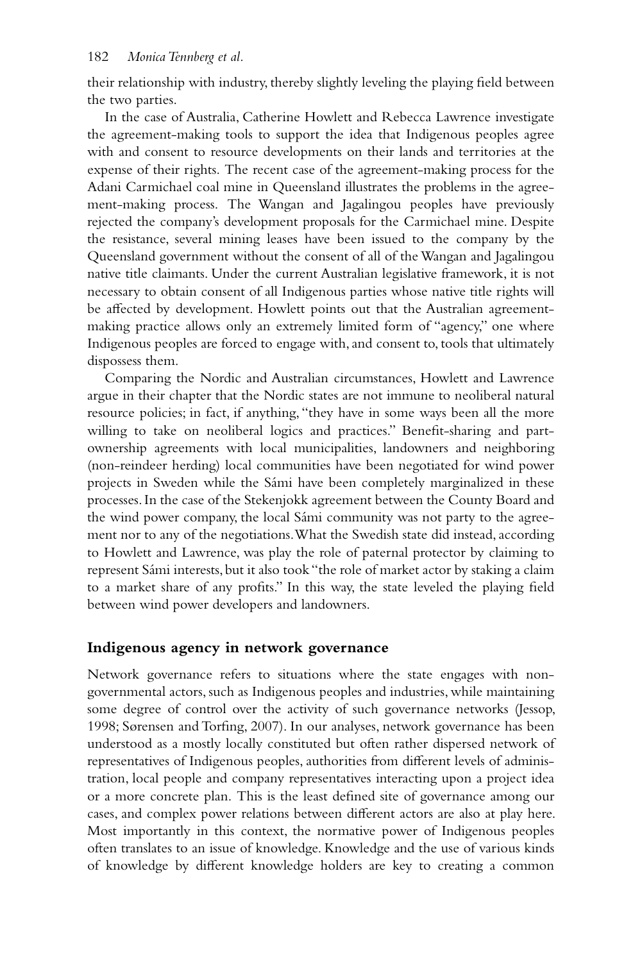their relationship with industry, thereby slightly leveling the playing field between the two parties.

In the case of Australia, Catherine Howlett and Rebecca Lawrence investigate the agreement-making tools to support the idea that Indigenous peoples agree with and consent to resource developments on their lands and territories at the expense of their rights. The recent case of the agreement-making process for the Adani Carmichael coal mine in Queensland illustrates the problems in the agreement-making process. The Wangan and Jagalingou peoples have previously rejected the company's development proposals for the Carmichael mine. Despite the resistance, several mining leases have been issued to the company by the Queensland government without the consent of all of the Wangan and Jagalingou native title claimants. Under the current Australian legislative framework, it is not necessary to obtain consent of all Indigenous parties whose native title rights will be affected by development. Howlett points out that the Australian agreementmaking practice allows only an extremely limited form of "agency," one where Indigenous peoples are forced to engage with, and consent to, tools that ultimately dispossess them.

Comparing the Nordic and Australian circumstances, Howlett and Lawrence argue in their chapter that the Nordic states are not immune to neoliberal natural resource policies; in fact, if anything, "they have in some ways been all the more willing to take on neoliberal logics and practices." Benefit-sharing and partownership agreements with local municipalities, landowners and neighboring (non-reindeer herding) local communities have been negotiated for wind power projects in Sweden while the Sámi have been completely marginalized in these processes. In the case of the Stekenjokk agreement between the County Board and the wind power company, the local Sámi community was not party to the agreement nor to any of the negotiations. What the Swedish state did instead, according to Howlett and Lawrence, was play the role of paternal protector by claiming to represent Sámi interests, but it also took "the role of market actor by staking a claim to a market share of any profits." In this way, the state leveled the playing field between wind power developers and landowners.

#### **Indigenous agency in network governance**

Network governance refers to situations where the state engages with nongovernmental actors, such as Indigenous peoples and industries, while maintaining some degree of control over the activity of such governance networks (Jessop, 1998; Sørensen and Torfing, 2007). In our analyses, network governance has been understood as a mostly locally constituted but often rather dispersed network of representatives of Indigenous peoples, authorities from different levels of administration, local people and company representatives interacting upon a project idea or a more concrete plan. This is the least defined site of governance among our cases, and complex power relations between different actors are also at play here. Most importantly in this context, the normative power of Indigenous peoples often translates to an issue of knowledge. Knowledge and the use of various kinds of knowledge by different knowledge holders are key to creating a common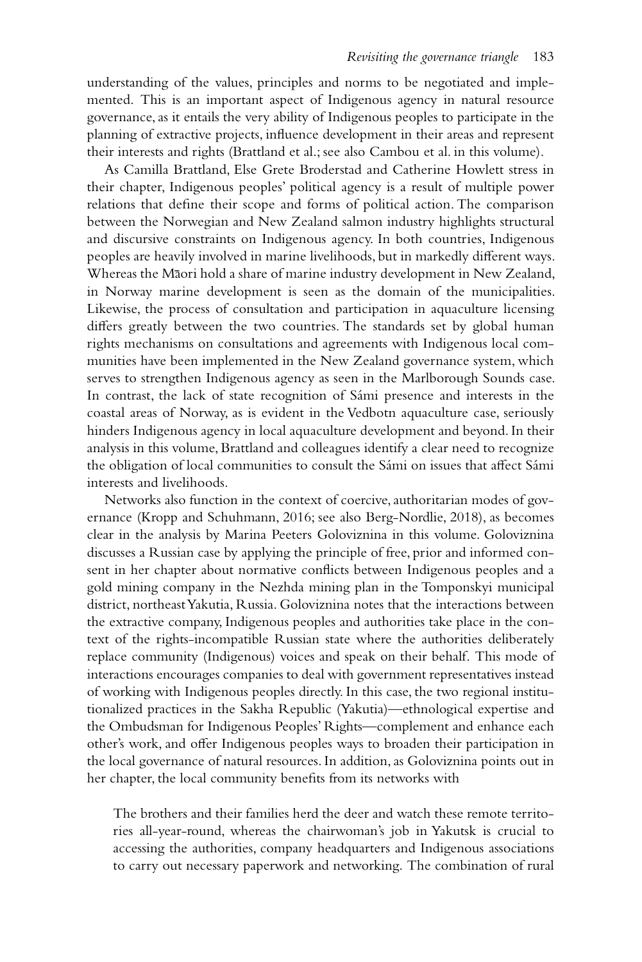understanding of the values, principles and norms to be negotiated and implemented. This is an important aspect of Indigenous agency in natural resource governance, as it entails the very ability of Indigenous peoples to participate in the planning of extractive projects, influence development in their areas and represent their interests and rights (Brattland et al.; see also Cambou et al. in this volume).

As Camilla Brattland, Else Grete Broderstad and Catherine Howlett stress in their chapter, Indigenous peoples' political agency is a result of multiple power relations that define their scope and forms of political action. The comparison between the Norwegian and New Zealand salmon industry highlights structural and discursive constraints on Indigenous agency. In both countries, Indigenous peoples are heavily involved in marine livelihoods, but in markedly different ways. Whereas the Maori hold a share of marine industry development in New Zealand, in Norway marine development is seen as the domain of the municipalities. Likewise, the process of consultation and participation in aquaculture licensing differs greatly between the two countries. The standards set by global human rights mechanisms on consultations and agreements with Indigenous local communities have been implemented in the New Zealand governance system, which serves to strengthen Indigenous agency as seen in the Marlborough Sounds case. In contrast, the lack of state recognition of Sámi presence and interests in the coastal areas of Norway, as is evident in the Vedbotn aquaculture case, seriously hinders Indigenous agency in local aquaculture development and beyond. In their analysis in this volume, Brattland and colleagues identify a clear need to recognize the obligation of local communities to consult the Sámi on issues that affect Sámi interests and livelihoods.

Networks also function in the context of coercive, authoritarian modes of governance (Kropp and Schuhmann, 2016; see also Berg-Nordlie, 2018), as becomes clear in the analysis by Marina Peeters Goloviznina in this volume. Goloviznina discusses a Russian case by applying the principle of free, prior and informed consent in her chapter about normative conflicts between Indigenous peoples and a gold mining company in the Nezhda mining plan in the Tomponskyi municipal district, northeast Yakutia, Russia. Goloviznina notes that the interactions between the extractive company, Indigenous peoples and authorities take place in the context of the rights-incompatible Russian state where the authorities deliberately replace community (Indigenous) voices and speak on their behalf. This mode of interactions encourages companies to deal with government representatives instead of working with Indigenous peoples directly. In this case, the two regional institutionalized practices in the Sakha Republic (Yakutia)—ethnological expertise and the Ombudsman for Indigenous Peoples' Rights—complement and enhance each other's work, and offer Indigenous peoples ways to broaden their participation in the local governance of natural resources. In addition, as Goloviznina points out in her chapter, the local community benefits from its networks with

The brothers and their families herd the deer and watch these remote territories all-year-round, whereas the chairwoman's job in Yakutsk is crucial to accessing the authorities, company headquarters and Indigenous associations to carry out necessary paperwork and networking. The combination of rural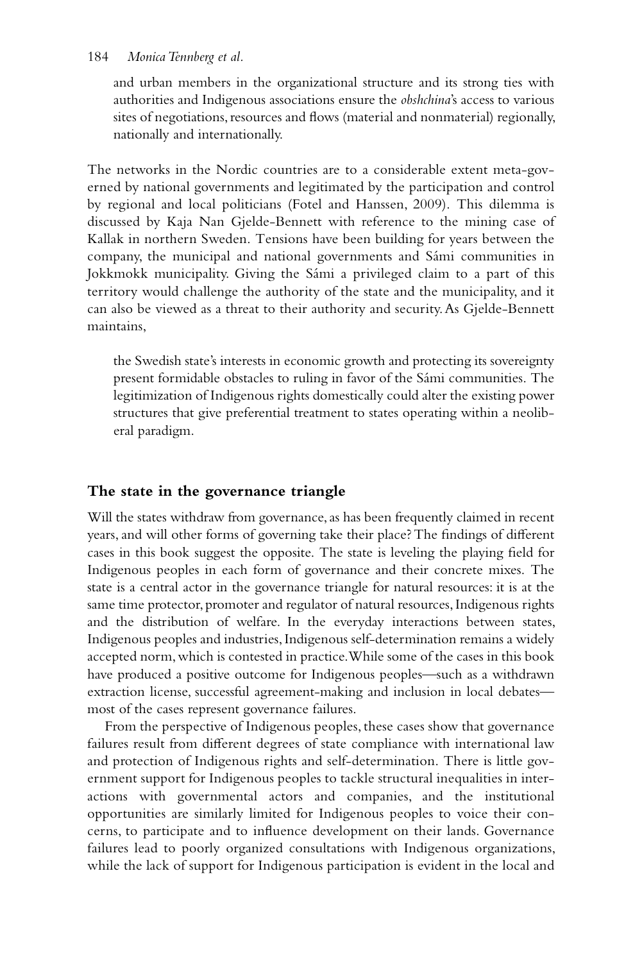#### 184 *Monica Tennberg et al.*

and urban members in the organizational structure and its strong ties with authorities and Indigenous associations ensure the *obshchina*'s access to various sites of negotiations, resources and flows (material and nonmaterial) regionally, nationally and internationally.

The networks in the Nordic countries are to a considerable extent meta-governed by national governments and legitimated by the participation and control by regional and local politicians (Fotel and Hanssen, 2009). This dilemma is discussed by Kaja Nan Gjelde-Bennett with reference to the mining case of Kallak in northern Sweden. Tensions have been building for years between the company, the municipal and national governments and Sámi communities in Jokkmokk municipality. Giving the Sámi a privileged claim to a part of this territory would challenge the authority of the state and the municipality, and it can also be viewed as a threat to their authority and security. As Gjelde-Bennett maintains,

the Swedish state's interests in economic growth and protecting its sovereignty present formidable obstacles to ruling in favor of the Sámi communities. The legitimization of Indigenous rights domestically could alter the existing power structures that give preferential treatment to states operating within a neoliberal paradigm.

### **The state in the governance triangle**

Will the states withdraw from governance, as has been frequently claimed in recent years, and will other forms of governing take their place? The findings of different cases in this book suggest the opposite. The state is leveling the playing field for Indigenous peoples in each form of governance and their concrete mixes. The state is a central actor in the governance triangle for natural resources: it is at the same time protector, promoter and regulator of natural resources, Indigenous rights and the distribution of welfare. In the everyday interactions between states, Indigenous peoples and industries, Indigenous self-determination remains a widely accepted norm, which is contested in practice. While some of the cases in this book have produced a positive outcome for Indigenous peoples—such as a withdrawn extraction license, successful agreement-making and inclusion in local debates most of the cases represent governance failures.

From the perspective of Indigenous peoples, these cases show that governance failures result from different degrees of state compliance with international law and protection of Indigenous rights and self-determination. There is little government support for Indigenous peoples to tackle structural inequalities in interactions with governmental actors and companies, and the institutional opportunities are similarly limited for Indigenous peoples to voice their concerns, to participate and to influence development on their lands. Governance failures lead to poorly organized consultations with Indigenous organizations, while the lack of support for Indigenous participation is evident in the local and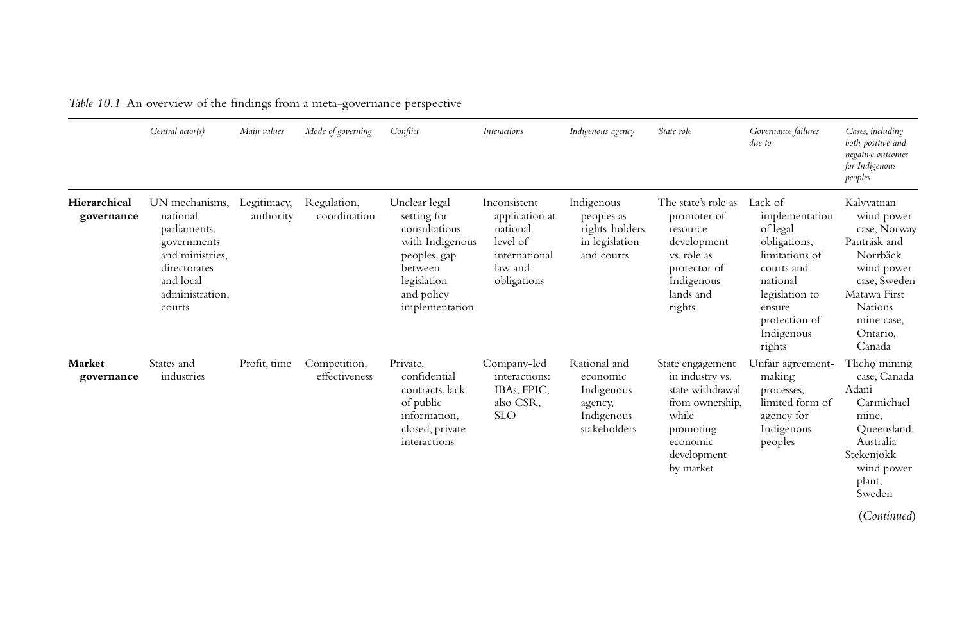|                            | Central actor(s)                                                                                                                       | Main values              | Mode of governing             | Conflict                                                                                                                                   | Interactions                                                                                      | Indigenous agency                                                               | State role                                                                                                                               | Governance failures<br>due to                                                                                                                                          | Cases, including<br>both positive and<br>negative outcomes<br>for Indigenous<br>peoples                                                                                  |
|----------------------------|----------------------------------------------------------------------------------------------------------------------------------------|--------------------------|-------------------------------|--------------------------------------------------------------------------------------------------------------------------------------------|---------------------------------------------------------------------------------------------------|---------------------------------------------------------------------------------|------------------------------------------------------------------------------------------------------------------------------------------|------------------------------------------------------------------------------------------------------------------------------------------------------------------------|--------------------------------------------------------------------------------------------------------------------------------------------------------------------------|
| Hierarchical<br>governance | UN mechanisms,<br>national<br>parliaments,<br>governments<br>and ministries.<br>directorates<br>and local<br>administration,<br>courts | Legitimacy,<br>authority | Regulation,<br>coordination   | Unclear legal<br>setting for<br>consultations<br>with Indigenous<br>peoples, gap<br>between<br>legislation<br>and policy<br>implementation | Inconsistent<br>application at<br>national<br>level of<br>international<br>law and<br>obligations | Indigenous<br>peoples as<br>rights-holders<br>in legislation<br>and courts      | The state's role as<br>promoter of<br>resource<br>development<br>vs. role as<br>protector of<br>Indigenous<br>lands and<br>rights        | Lack of<br>implementation<br>of legal<br>obligations,<br>limitations of<br>courts and<br>national<br>legislation to<br>ensure<br>protection of<br>Indigenous<br>rights | Kalvvatnan<br>wind power<br>case, Norway<br>Pauträsk and<br>Norrbäck<br>wind power<br>case, Sweden<br>Matawa First<br><b>Nations</b><br>mine case,<br>Ontario,<br>Canada |
| Market<br>governance       | States and<br>industries                                                                                                               | Profit, time             | Competition,<br>effectiveness | Private,<br>confidential<br>contracts, lack<br>of public<br>information,<br>closed, private<br>interactions                                | Company-led<br>interactions:<br>IBAs, FPIC,<br>also CSR,<br><b>SLO</b>                            | Rational and<br>economic<br>Indigenous<br>agency,<br>Indigenous<br>stakeholders | State engagement<br>in industry vs.<br>state withdrawal<br>from ownership,<br>while<br>promoting<br>economic<br>development<br>by market | Unfair agreement-<br>making<br>processes,<br>limited form of<br>agency for<br>Indigenous<br>peoples                                                                    | Tlicho mining<br>case, Canada<br>Adani<br>Carmichael<br>mine,<br>Queensland,<br>Australia<br>Stekenjokk<br>wind power<br>plant,<br>Sweden                                |
|                            |                                                                                                                                        |                          |                               |                                                                                                                                            |                                                                                                   |                                                                                 |                                                                                                                                          |                                                                                                                                                                        | (Continued)                                                                                                                                                              |

|  |  |  | Table 10.1 An overview of the findings from a meta-governance perspective |  |
|--|--|--|---------------------------------------------------------------------------|--|
|  |  |  |                                                                           |  |
|  |  |  |                                                                           |  |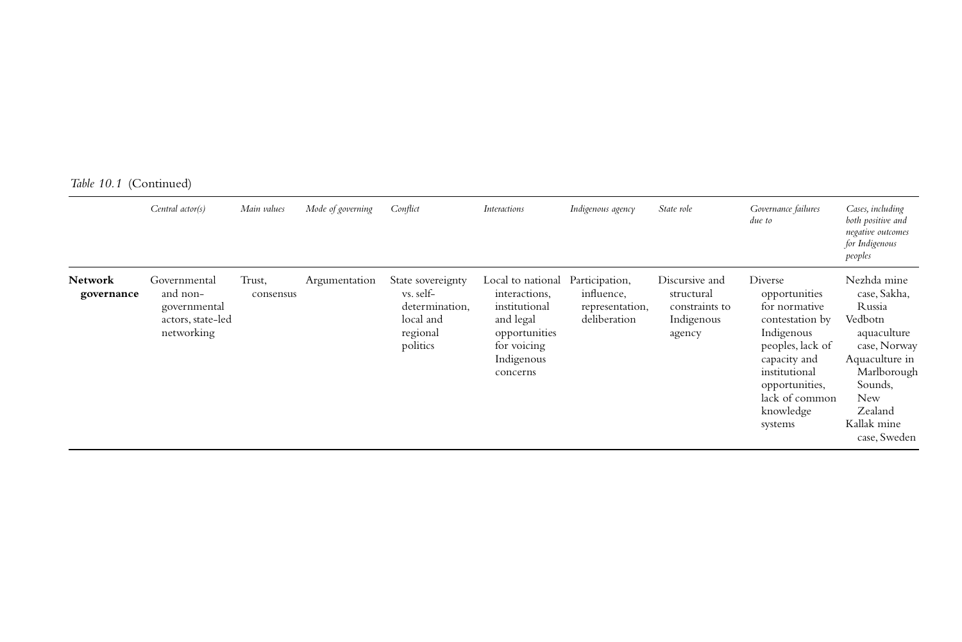#### *Table 10.1* (Continued)

|                              | Central actor(s)                                                            | Main values         | Mode of governing | Conflict                                                                              | <b>Interactions</b>                                                                                                        | Indigenous agency                                               | State role                                                             | Governance failures<br>due to                                                                                                                                                               | Cases, including<br>both positive and<br>negative outcomes<br>for Indigenous<br>peoples                                                                                             |
|------------------------------|-----------------------------------------------------------------------------|---------------------|-------------------|---------------------------------------------------------------------------------------|----------------------------------------------------------------------------------------------------------------------------|-----------------------------------------------------------------|------------------------------------------------------------------------|---------------------------------------------------------------------------------------------------------------------------------------------------------------------------------------------|-------------------------------------------------------------------------------------------------------------------------------------------------------------------------------------|
| <b>Network</b><br>governance | Governmental<br>and non-<br>governmental<br>actors, state-led<br>networking | Trust,<br>consensus | Argumentation     | State sovereignty<br>vs. self-<br>determination,<br>local and<br>regional<br>politics | Local to national<br>interactions,<br>institutional<br>and legal<br>opportunities<br>for voicing<br>Indigenous<br>concerns | Participation,<br>influence,<br>representation,<br>deliberation | Discursive and<br>structural<br>constraints to<br>Indigenous<br>agency | Diverse<br>opportunities<br>for normative<br>contestation by<br>Indigenous<br>peoples, lack of<br>capacity and<br>institutional<br>opportunities,<br>lack of common<br>knowledge<br>systems | Nezhda mine<br>case, Sakha,<br>Russia<br>Vedbotn<br>aquaculture<br>case, Norway<br>Aquaculture in<br>Marlborough<br>Sounds,<br><b>New</b><br>Zealand<br>Kallak mine<br>case, Sweden |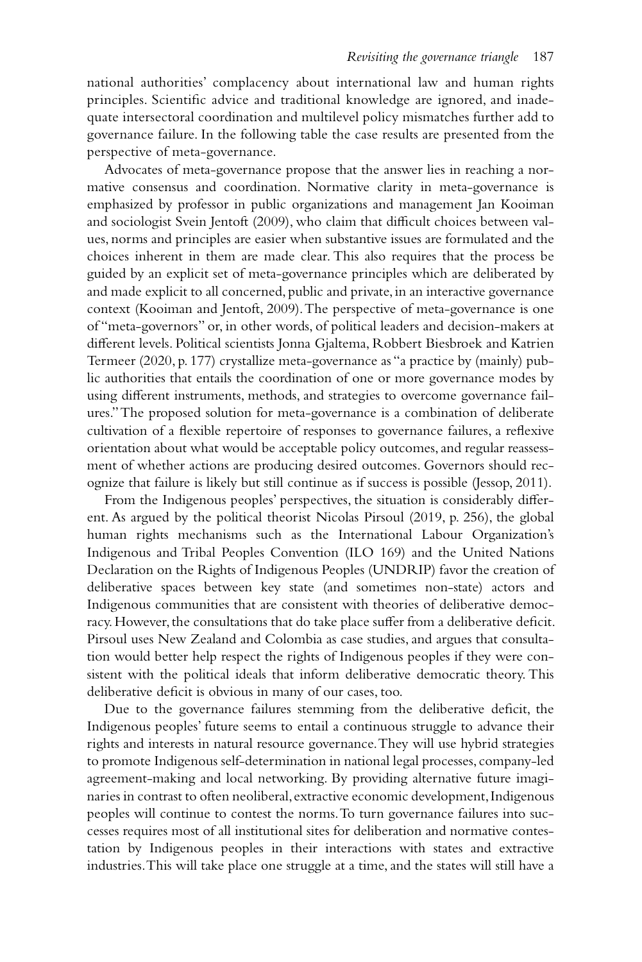national authorities' complacency about international law and human rights principles. Scientific advice and traditional knowledge are ignored, and inadequate intersectoral coordination and multilevel policy mismatches further add to governance failure. In the following table the case results are presented from the perspective of meta-governance.

Advocates of meta-governance propose that the answer lies in reaching a normative consensus and coordination. Normative clarity in meta-governance is emphasized by professor in public organizations and management Jan Kooiman and sociologist Svein Jentoft (2009), who claim that difficult choices between values, norms and principles are easier when substantive issues are formulated and the choices inherent in them are made clear. This also requires that the process be guided by an explicit set of meta-governance principles which are deliberated by and made explicit to all concerned, public and private, in an interactive governance context (Kooiman and Jentoft, 2009). The perspective of meta-governance is one of "meta-governors" or, in other words, of political leaders and decision-makers at different levels. Political scientists Jonna Gjaltema, Robbert Biesbroek and Katrien Termeer (2020, p. 177) crystallize meta-governance as "a practice by (mainly) public authorities that entails the coordination of one or more governance modes by using different instruments, methods, and strategies to overcome governance failures." The proposed solution for meta-governance is a combination of deliberate cultivation of a flexible repertoire of responses to governance failures, a reflexive orientation about what would be acceptable policy outcomes, and regular reassessment of whether actions are producing desired outcomes. Governors should recognize that failure is likely but still continue as if success is possible (Jessop, 2011).

From the Indigenous peoples' perspectives, the situation is considerably different. As argued by the political theorist Nicolas Pirsoul (2019, p. 256), the global human rights mechanisms such as the International Labour Organization's Indigenous and Tribal Peoples Convention (ILO 169) and the United Nations Declaration on the Rights of Indigenous Peoples (UNDRIP) favor the creation of deliberative spaces between key state (and sometimes non-state) actors and Indigenous communities that are consistent with theories of deliberative democracy. However, the consultations that do take place suffer from a deliberative deficit. Pirsoul uses New Zealand and Colombia as case studies, and argues that consultation would better help respect the rights of Indigenous peoples if they were consistent with the political ideals that inform deliberative democratic theory. This deliberative deficit is obvious in many of our cases, too.

Due to the governance failures stemming from the deliberative deficit, the Indigenous peoples' future seems to entail a continuous struggle to advance their rights and interests in natural resource governance. They will use hybrid strategies to promote Indigenous self-determination in national legal processes, company-led agreement-making and local networking. By providing alternative future imaginaries in contrast to often neoliberal, extractive economic development, Indigenous peoples will continue to contest the norms. To turn governance failures into successes requires most of all institutional sites for deliberation and normative contestation by Indigenous peoples in their interactions with states and extractive industries. This will take place one struggle at a time, and the states will still have a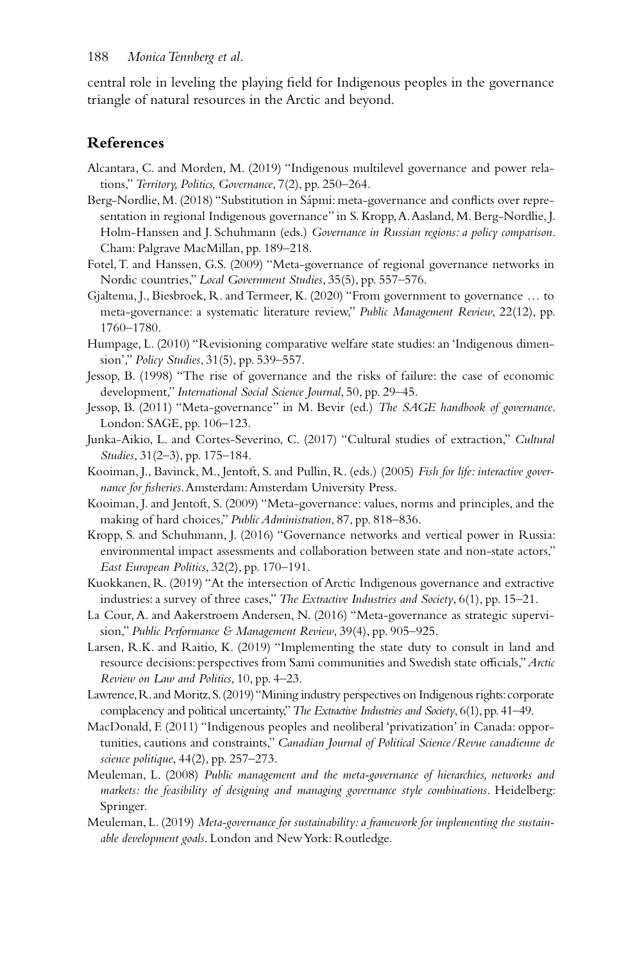central role in leveling the playing field for Indigenous peoples in the governance triangle of natural resources in the Arctic and beyond.

### **References**

- Alcantara, C. and Morden, M. (2019) "Indigenous multilevel governance and power relations," *Territory, Politics, Governance*, 7(2), pp. 250–264.
- Berg-Nordlie, M. (2018) "Substitution in Sápmi: meta-governance and conflicts over representation in regional Indigenous governance" in S. Kropp, A. Aasland, M. Berg-Nordlie, J. Holm-Hanssen and J. Schuhmann (eds.) *Governance in Russian regions: a policy comparison*. Cham: Palgrave MacMillan, pp. 189–218.
- Fotel, T. and Hanssen, G.S. (2009) "Meta-governance of regional governance networks in Nordic countries," *Local Government Studies*, 35(5), pp. 557–576.
- Gjaltema, J., Biesbroek, R. and Termeer, K. (2020) "From government to governance … to meta-governance: a systematic literature review," *Public Management Review*, 22(12), pp. 1760–1780.
- Humpage, L. (2010) "Revisioning comparative welfare state studies: an 'Indigenous dimension'," *Policy Studies*, 31(5), pp. 539–557.
- Jessop, B. (1998) "The rise of governance and the risks of failure: the case of economic development," *International Social Science Journal*, 50, pp. 29–45.
- Jessop, B. (2011) "Meta-governance" in M. Bevir (ed.) *The SAGE handbook of governance*. London: SAGE, pp. 106–123.
- Junka-Aikio, L. and Cortes-Severino, C. (2017) "Cultural studies of extraction," *Cultural Studies*, 31(2–3), pp. 175–184.
- Kooiman, J., Bavinck, M., Jentoft, S. and Pullin, R. (eds.) (2005) *Fish for life: interactive governance for fisheries*. Amsterdam: Amsterdam University Press.
- Kooiman, J. and Jentoft, S. (2009) "Meta-governance: values, norms and principles, and the making of hard choices," *Public Administration*, 87, pp. 818–836.
- Kropp, S. and Schuhmann, J. (2016) "Governance networks and vertical power in Russia: environmental impact assessments and collaboration between state and non-state actors," *East European Politics*, 32(2), pp. 170–191.
- Kuokkanen, R. (2019) "At the intersection of Arctic Indigenous governance and extractive industries: a survey of three cases," *The Extractive Industries and Society*, 6(1), pp. 15–21.
- La Cour, A. and Aakerstroem Andersen, N. (2016) "Meta-governance as strategic supervision," *Public Performance & Management Review*, 39(4), pp. 905–925.
- Larsen, R.K. and Raitio, K. (2019) "Implementing the state duty to consult in land and resource decisions: perspectives from Sami communities and Swedish state officials," *Arctic Review on Law and Politics*, 10, pp. 4–23.
- Lawrence, R. and Moritz, S. (2019) "Mining industry perspectives on Indigenous rights: corporate complacency and political uncertainty," *The Extractive Industries and Society*, 6(1), pp. 41–49.
- MacDonald, F. (2011) "Indigenous peoples and neoliberal 'privatization' in Canada: opportunities, cautions and constraints," *Canadian Journal of Political Science/Revue canadienne de science politique*, 44(2), pp. 257–273.
- Meuleman, L. (2008) *Public management and the meta-governance of hierarchies, networks and markets: the feasibility of designing and managing governance style combinations*. Heidelberg: Springer.
- Meuleman, L. (2019) *Meta-governance for sustainability: a framework for implementing the sustainable development goals*. London and New York: Routledge.